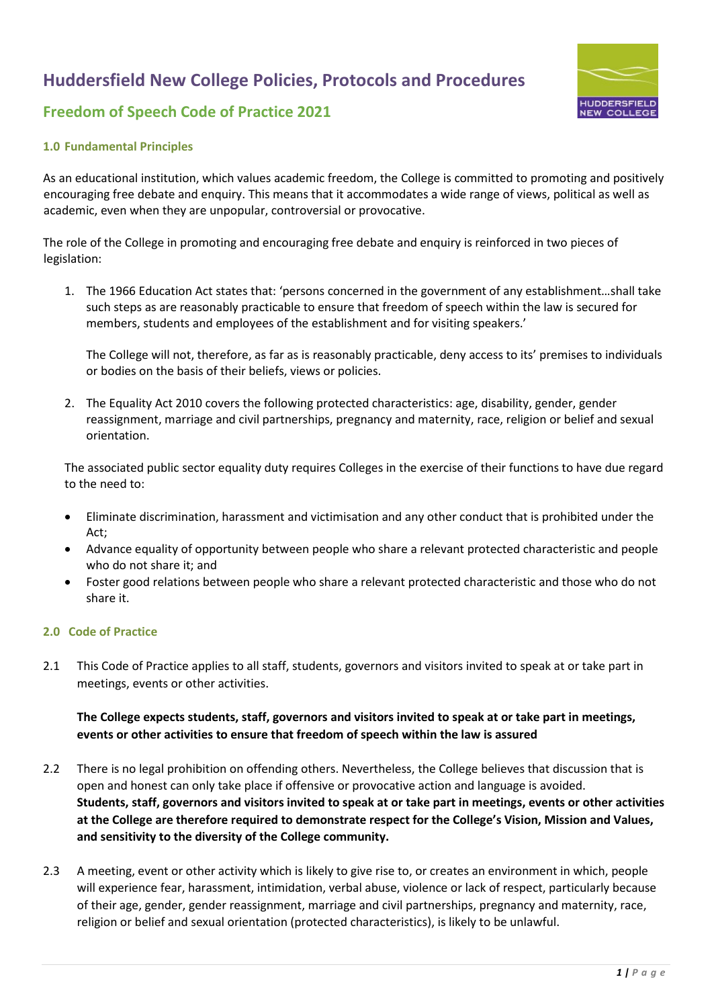

### **Freedom of Speech Code of Practice 2021**

#### **1.0 Fundamental Principles**

As an educational institution, which values academic freedom, the College is committed to promoting and positively encouraging free debate and enquiry. This means that it accommodates a wide range of views, political as well as academic, even when they are unpopular, controversial or provocative.

The role of the College in promoting and encouraging free debate and enquiry is reinforced in two pieces of legislation:

1. The 1966 Education Act states that: 'persons concerned in the government of any establishment…shall take such steps as are reasonably practicable to ensure that freedom of speech within the law is secured for members, students and employees of the establishment and for visiting speakers.'

The College will not, therefore, as far as is reasonably practicable, deny access to its' premises to individuals or bodies on the basis of their beliefs, views or policies.

2. The Equality Act 2010 covers the following protected characteristics: age, disability, gender, gender reassignment, marriage and civil partnerships, pregnancy and maternity, race, religion or belief and sexual orientation.

The associated public sector equality duty requires Colleges in the exercise of their functions to have due regard to the need to:

- Eliminate discrimination, harassment and victimisation and any other conduct that is prohibited under the Act;
- Advance equality of opportunity between people who share a relevant protected characteristic and people who do not share it; and
- Foster good relations between people who share a relevant protected characteristic and those who do not share it.

#### **2.0 Code of Practice**

2.1 This Code of Practice applies to all staff, students, governors and visitors invited to speak at or take part in meetings, events or other activities.

### **The College expects students, staff, governors and visitors invited to speak at or take part in meetings, events or other activities to ensure that freedom of speech within the law is assured**

- 2.2 There is no legal prohibition on offending others. Nevertheless, the College believes that discussion that is open and honest can only take place if offensive or provocative action and language is avoided. **Students, staff, governors and visitors invited to speak at or take part in meetings, events or other activities at the College are therefore required to demonstrate respect for the College's Vision, Mission and Values, and sensitivity to the diversity of the College community.**
- 2.3 A meeting, event or other activity which is likely to give rise to, or creates an environment in which, people will experience fear, harassment, intimidation, verbal abuse, violence or lack of respect, particularly because of their age, gender, gender reassignment, marriage and civil partnerships, pregnancy and maternity, race, religion or belief and sexual orientation (protected characteristics), is likely to be unlawful.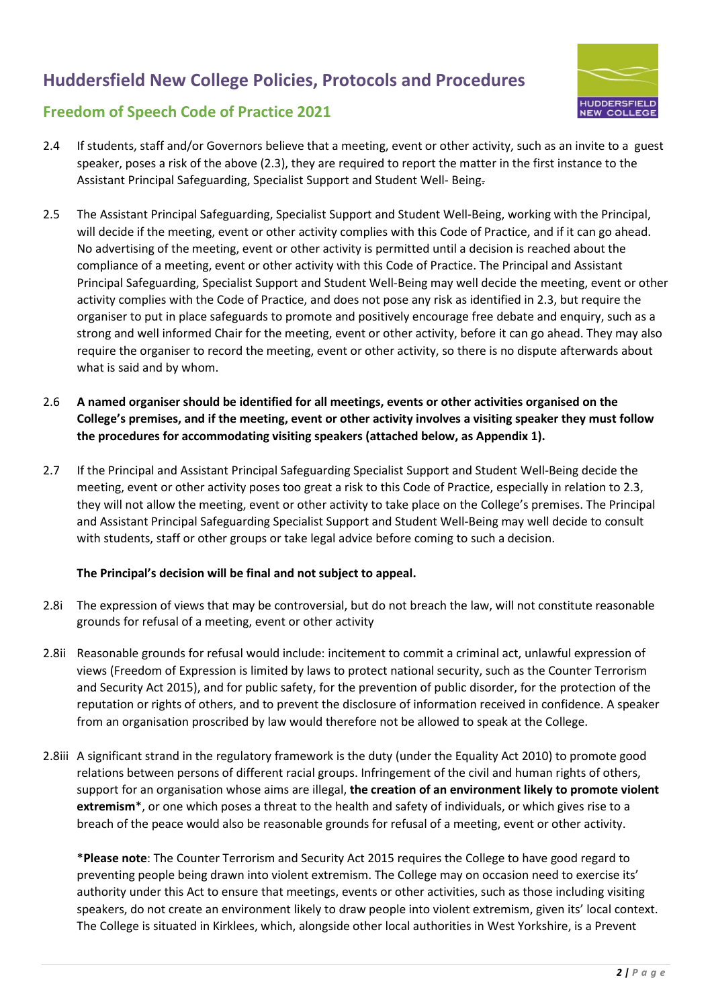

### **Freedom of Speech Code of Practice 2021**

- 2.4 If students, staff and/or Governors believe that a meeting, event or other activity, such as an invite to a guest speaker, poses a risk of the above (2.3), they are required to report the matter in the first instance to the Assistant Principal Safeguarding, Specialist Support and Student Well- Being.
- 2.5 The Assistant Principal Safeguarding, Specialist Support and Student Well-Being, working with the Principal, will decide if the meeting, event or other activity complies with this Code of Practice, and if it can go ahead. No advertising of the meeting, event or other activity is permitted until a decision is reached about the compliance of a meeting, event or other activity with this Code of Practice. The Principal and Assistant Principal Safeguarding, Specialist Support and Student Well-Being may well decide the meeting, event or other activity complies with the Code of Practice, and does not pose any risk as identified in 2.3, but require the organiser to put in place safeguards to promote and positively encourage free debate and enquiry, such as a strong and well informed Chair for the meeting, event or other activity, before it can go ahead. They may also require the organiser to record the meeting, event or other activity, so there is no dispute afterwards about what is said and by whom.
- 2.6 **A named organiser should be identified for all meetings, events or other activities organised on the College's premises, and if the meeting, event or other activity involves a visiting speaker they must follow the procedures for accommodating visiting speakers (attached below, as Appendix 1).**
- 2.7 If the Principal and Assistant Principal Safeguarding Specialist Support and Student Well-Being decide the meeting, event or other activity poses too great a risk to this Code of Practice, especially in relation to 2.3, they will not allow the meeting, event or other activity to take place on the College's premises. The Principal and Assistant Principal Safeguarding Specialist Support and Student Well-Being may well decide to consult with students, staff or other groups or take legal advice before coming to such a decision.

### **The Principal's decision will be final and not subject to appeal.**

- 2.8i The expression of views that may be controversial, but do not breach the law, will not constitute reasonable grounds for refusal of a meeting, event or other activity
- 2.8ii Reasonable grounds for refusal would include: incitement to commit a criminal act, unlawful expression of views (Freedom of Expression is limited by laws to protect national security, such as the Counter Terrorism and Security Act 2015), and for public safety, for the prevention of public disorder, for the protection of the reputation or rights of others, and to prevent the disclosure of information received in confidence. A speaker from an organisation proscribed by law would therefore not be allowed to speak at the College.
- 2.8iii A significant strand in the regulatory framework is the duty (under the Equality Act 2010) to promote good relations between persons of different racial groups. Infringement of the civil and human rights of others, support for an organisation whose aims are illegal, **the creation of an environment likely to promote violent extremism**\*, or one which poses a threat to the health and safety of individuals, or which gives rise to a breach of the peace would also be reasonable grounds for refusal of a meeting, event or other activity.

\***Please note**: The Counter Terrorism and Security Act 2015 requires the College to have good regard to preventing people being drawn into violent extremism. The College may on occasion need to exercise its' authority under this Act to ensure that meetings, events or other activities, such as those including visiting speakers, do not create an environment likely to draw people into violent extremism, given its' local context. The College is situated in Kirklees, which, alongside other local authorities in West Yorkshire, is a Prevent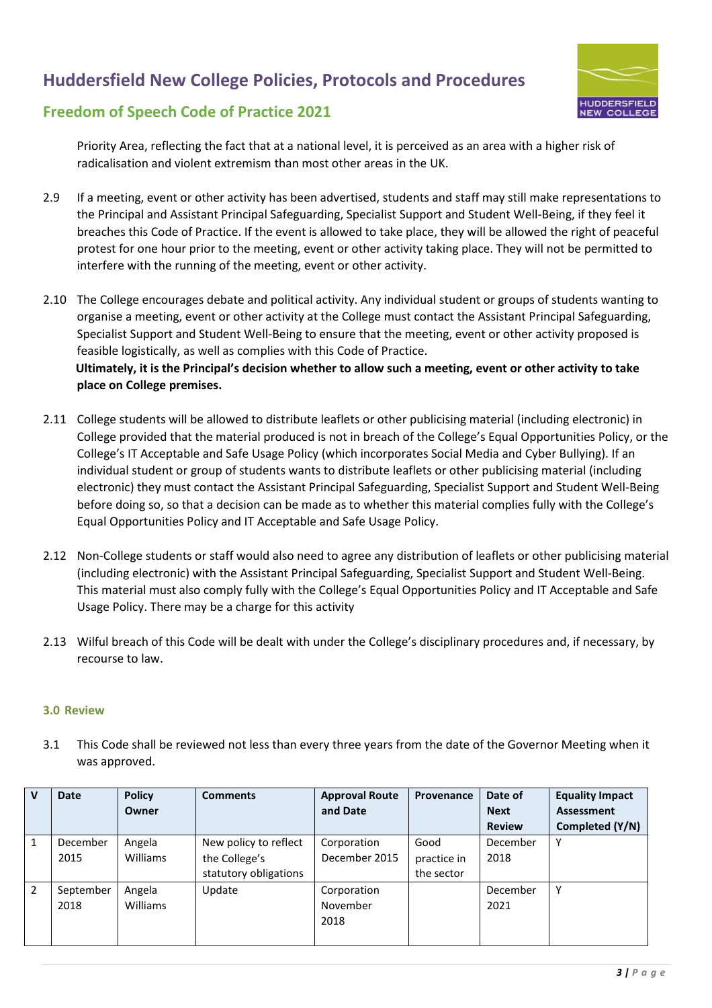

### **Freedom of Speech Code of Practice 2021**

Priority Area, reflecting the fact that at a national level, it is perceived as an area with a higher risk of radicalisation and violent extremism than most other areas in the UK.

- 2.9 If a meeting, event or other activity has been advertised, students and staff may still make representations to the Principal and Assistant Principal Safeguarding, Specialist Support and Student Well-Being, if they feel it breaches this Code of Practice. If the event is allowed to take place, they will be allowed the right of peaceful protest for one hour prior to the meeting, event or other activity taking place. They will not be permitted to interfere with the running of the meeting, event or other activity.
- 2.10 The College encourages debate and political activity. Any individual student or groups of students wanting to organise a meeting, event or other activity at the College must contact the Assistant Principal Safeguarding, Specialist Support and Student Well-Being to ensure that the meeting, event or other activity proposed is feasible logistically, as well as complies with this Code of Practice. **Ultimately, it is the Principal's decision whether to allow such a meeting, event or other activity to take place on College premises.**
- 2.11 College students will be allowed to distribute leaflets or other publicising material (including electronic) in College provided that the material produced is not in breach of the College's Equal Opportunities Policy, or the College's IT Acceptable and Safe Usage Policy (which incorporates Social Media and Cyber Bullying). If an individual student or group of students wants to distribute leaflets or other publicising material (including electronic) they must contact the Assistant Principal Safeguarding, Specialist Support and Student Well-Being before doing so, so that a decision can be made as to whether this material complies fully with the College's Equal Opportunities Policy and IT Acceptable and Safe Usage Policy.
- 2.12 Non-College students or staff would also need to agree any distribution of leaflets or other publicising material (including electronic) with the Assistant Principal Safeguarding, Specialist Support and Student Well-Being. This material must also comply fully with the College's Equal Opportunities Policy and IT Acceptable and Safe Usage Policy. There may be a charge for this activity
- 2.13 Wilful breach of this Code will be dealt with under the College's disciplinary procedures and, if necessary, by recourse to law.

### **3.0 Review**

3.1 This Code shall be reviewed not less than every three years from the date of the Governor Meeting when it was approved.

| $\mathbf v$ | Date      | <b>Policy</b>   | <b>Comments</b>       | <b>Approval Route</b> | Provenance  | Date of       | <b>Equality Impact</b> |
|-------------|-----------|-----------------|-----------------------|-----------------------|-------------|---------------|------------------------|
|             |           | Owner           |                       | and Date              |             | <b>Next</b>   | Assessment             |
|             |           |                 |                       |                       |             | <b>Review</b> | Completed (Y/N)        |
|             | December  | Angela          | New policy to reflect | Corporation           | Good        | December      | Y                      |
|             | 2015      | <b>Williams</b> | the College's         | December 2015         | practice in | 2018          |                        |
|             |           |                 | statutory obligations |                       | the sector  |               |                        |
| 2           | September | Angela          | Update                | Corporation           |             | December      | Υ                      |
|             | 2018      | <b>Williams</b> |                       | November              |             | 2021          |                        |
|             |           |                 |                       | 2018                  |             |               |                        |
|             |           |                 |                       |                       |             |               |                        |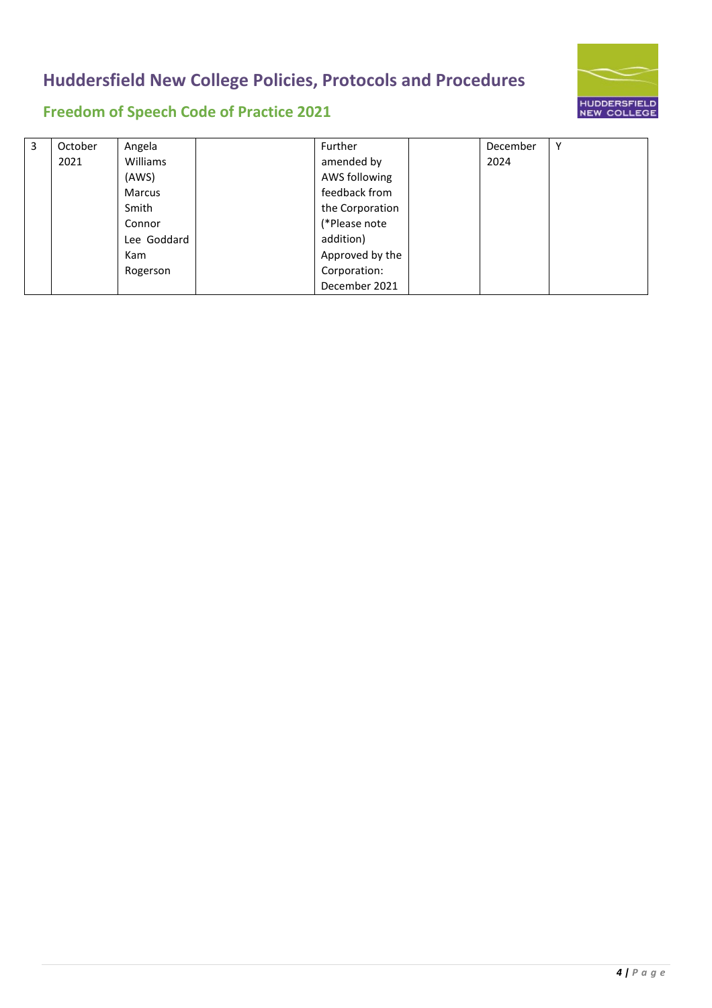

# **Freedom of Speech Code of Practice 2021**

| 3 | October | Angela        | Further         | December | Υ |
|---|---------|---------------|-----------------|----------|---|
|   | 2021    | Williams      | amended by      | 2024     |   |
|   |         | (AWS)         | AWS following   |          |   |
|   |         | <b>Marcus</b> | feedback from   |          |   |
|   |         | Smith         | the Corporation |          |   |
|   |         | Connor        | (*Please note   |          |   |
|   |         | Lee Goddard   | addition)       |          |   |
|   |         | Kam           | Approved by the |          |   |
|   |         | Rogerson      | Corporation:    |          |   |
|   |         |               | December 2021   |          |   |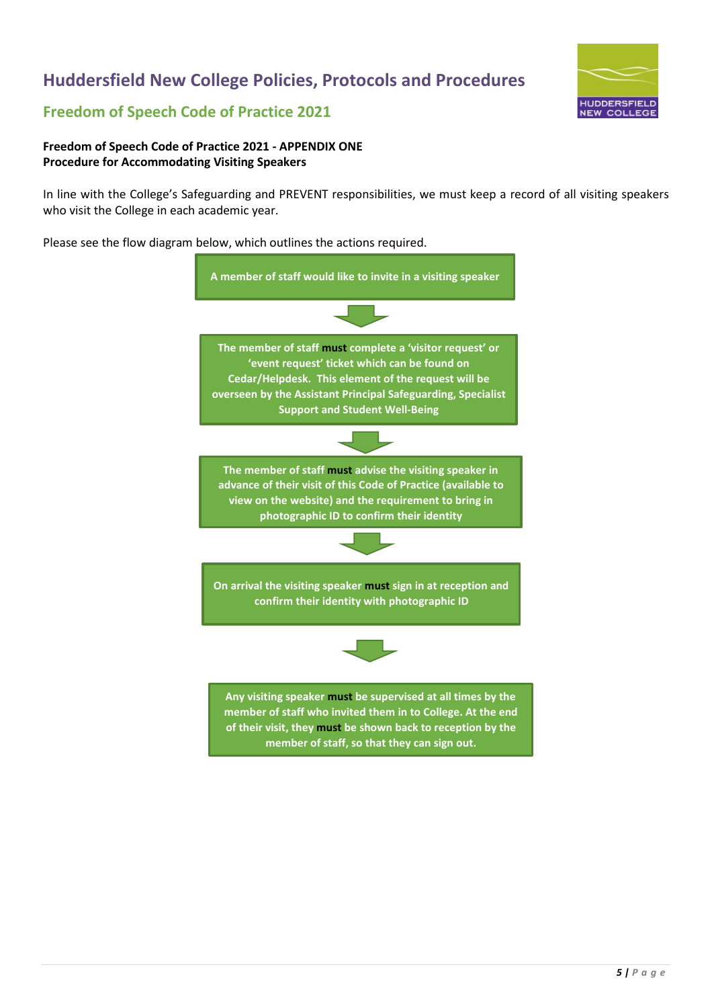

### **Freedom of Speech Code of Practice 2021**

#### **Freedom of Speech Code of Practice 2021 - APPENDIX ONE Procedure for Accommodating Visiting Speakers**

In line with the College's Safeguarding and PREVENT responsibilities, we must keep a record of all visiting speakers who visit the College in each academic year.

Please see the flow diagram below, which outlines the actions required.

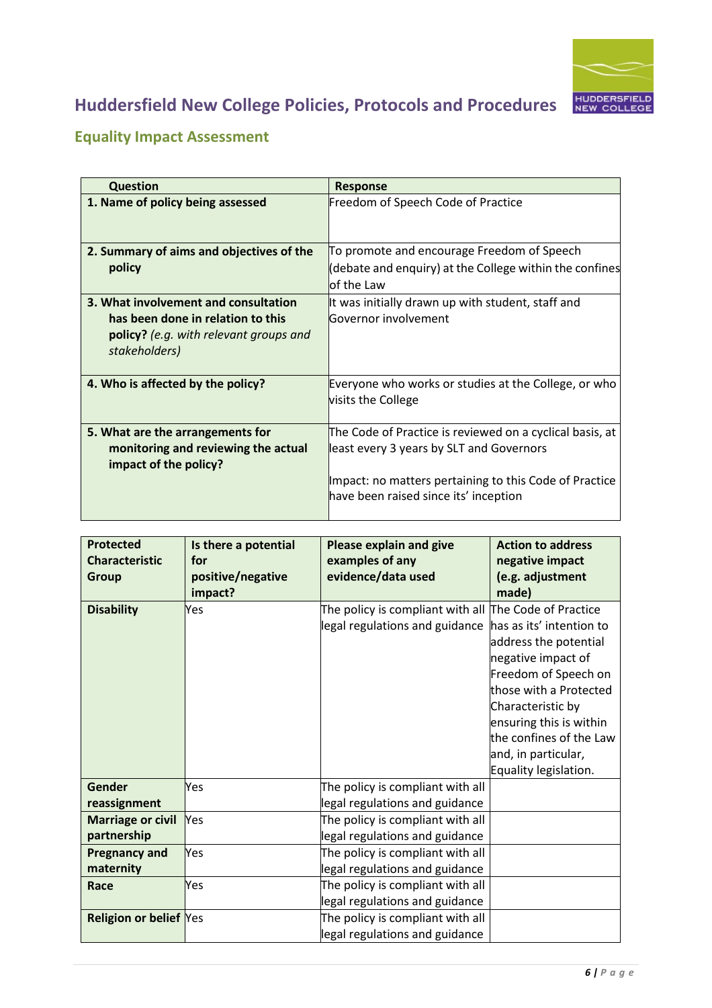

# **Equality Impact Assessment**

| <b>Question</b>                                         | <b>Response</b>                                                            |
|---------------------------------------------------------|----------------------------------------------------------------------------|
| 1. Name of policy being assessed                        | Freedom of Speech Code of Practice                                         |
| 2. Summary of aims and objectives of the                | To promote and encourage Freedom of Speech                                 |
| policy                                                  | (debate and enquiry) at the College within the confines                    |
|                                                         | lof the Law                                                                |
| 3. What involvement and consultation                    | It was initially drawn up with student, staff and                          |
| has been done in relation to this                       | Governor involvement                                                       |
| policy? (e.g. with relevant groups and<br>stakeholders) |                                                                            |
| 4. Who is affected by the policy?                       | Everyone who works or studies at the College, or who<br>visits the College |
| 5. What are the arrangements for                        | The Code of Practice is reviewed on a cyclical basis, at                   |
| monitoring and reviewing the actual                     | least every 3 years by SLT and Governors                                   |
| impact of the policy?                                   |                                                                            |
|                                                         | Impact: no matters pertaining to this Code of Practice                     |
|                                                         | have been raised since its' inception                                      |

| <b>Protected</b><br><b>Characteristic</b><br><b>Group</b> | Is there a potential<br>for<br>positive/negative<br>impact? | <b>Please explain and give</b><br>examples of any<br>evidence/data used                         | <b>Action to address</b><br>negative impact<br>(e.g. adjustment<br>made)                                                                                                                                                                             |
|-----------------------------------------------------------|-------------------------------------------------------------|-------------------------------------------------------------------------------------------------|------------------------------------------------------------------------------------------------------------------------------------------------------------------------------------------------------------------------------------------------------|
| <b>Disability</b>                                         | Yes                                                         | The policy is compliant with all $\vert$ The Code of Practice<br>legal regulations and guidance | has as its' intention to<br>address the potential<br>negative impact of<br>Freedom of Speech on<br>those with a Protected<br>Characteristic by<br>ensuring this is within<br>the confines of the Law<br>and, in particular,<br>Equality legislation. |
| Gender<br>reassignment                                    | <b>Yes</b>                                                  | The policy is compliant with all<br>legal regulations and guidance                              |                                                                                                                                                                                                                                                      |
| <b>Marriage or civil</b><br>partnership                   | <b>Yes</b>                                                  | The policy is compliant with all<br>legal regulations and guidance                              |                                                                                                                                                                                                                                                      |
| <b>Pregnancy and</b><br>maternity                         | Yes                                                         | The policy is compliant with all<br>legal regulations and guidance                              |                                                                                                                                                                                                                                                      |
| Race                                                      | <b>Yes</b>                                                  | The policy is compliant with all<br>legal regulations and guidance                              |                                                                                                                                                                                                                                                      |
| <b>Religion or belief Yes</b>                             |                                                             | The policy is compliant with all<br>legal regulations and guidance                              |                                                                                                                                                                                                                                                      |